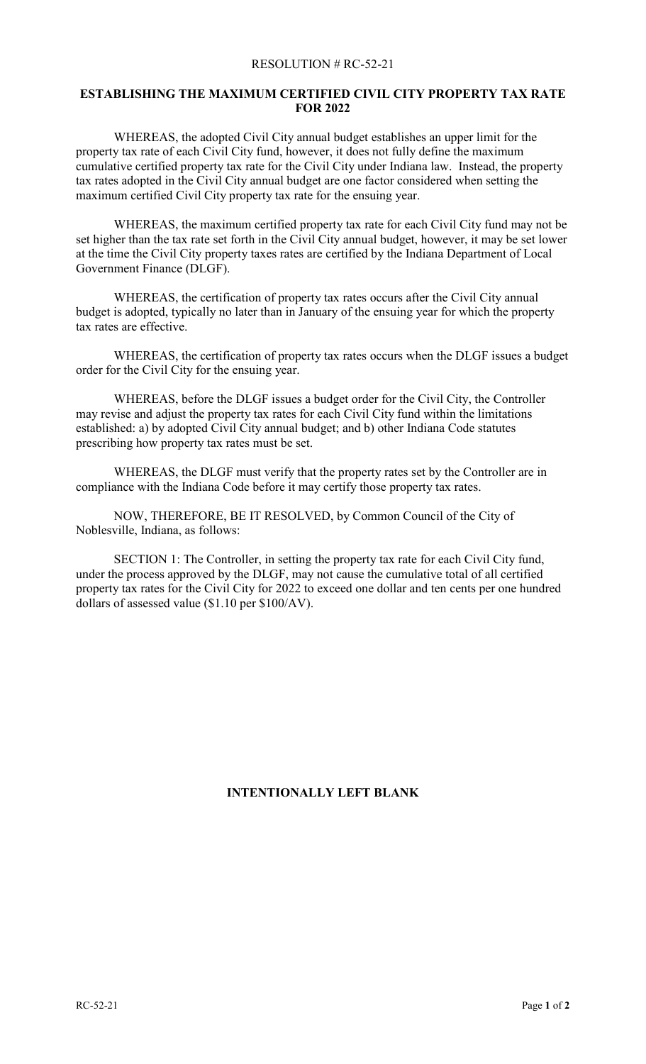## RESOLUTION # RC-52-21

## **ESTABLISHING THE MAXIMUM CERTIFIED CIVIL CITY PROPERTY TAX RATE FOR 2022**

WHEREAS, the adopted Civil City annual budget establishes an upper limit for the property tax rate of each Civil City fund, however, it does not fully define the maximum cumulative certified property tax rate for the Civil City under Indiana law. Instead, the property tax rates adopted in the Civil City annual budget are one factor considered when setting the maximum certified Civil City property tax rate for the ensuing year.

WHEREAS, the maximum certified property tax rate for each Civil City fund may not be set higher than the tax rate set forth in the Civil City annual budget, however, it may be set lower at the time the Civil City property taxes rates are certified by the Indiana Department of Local Government Finance (DLGF).

WHEREAS, the certification of property tax rates occurs after the Civil City annual budget is adopted, typically no later than in January of the ensuing year for which the property tax rates are effective.

WHEREAS, the certification of property tax rates occurs when the DLGF issues a budget order for the Civil City for the ensuing year.

WHEREAS, before the DLGF issues a budget order for the Civil City, the Controller may revise and adjust the property tax rates for each Civil City fund within the limitations established: a) by adopted Civil City annual budget; and b) other Indiana Code statutes prescribing how property tax rates must be set.

WHEREAS, the DLGF must verify that the property rates set by the Controller are in compliance with the Indiana Code before it may certify those property tax rates.

NOW, THEREFORE, BE IT RESOLVED, by Common Council of the City of Noblesville, Indiana, as follows:

SECTION 1: The Controller, in setting the property tax rate for each Civil City fund, under the process approved by the DLGF, may not cause the cumulative total of all certified property tax rates for the Civil City for 2022 to exceed one dollar and ten cents per one hundred dollars of assessed value (\$1.10 per \$100/AV).

## **INTENTIONALLY LEFT BLANK**